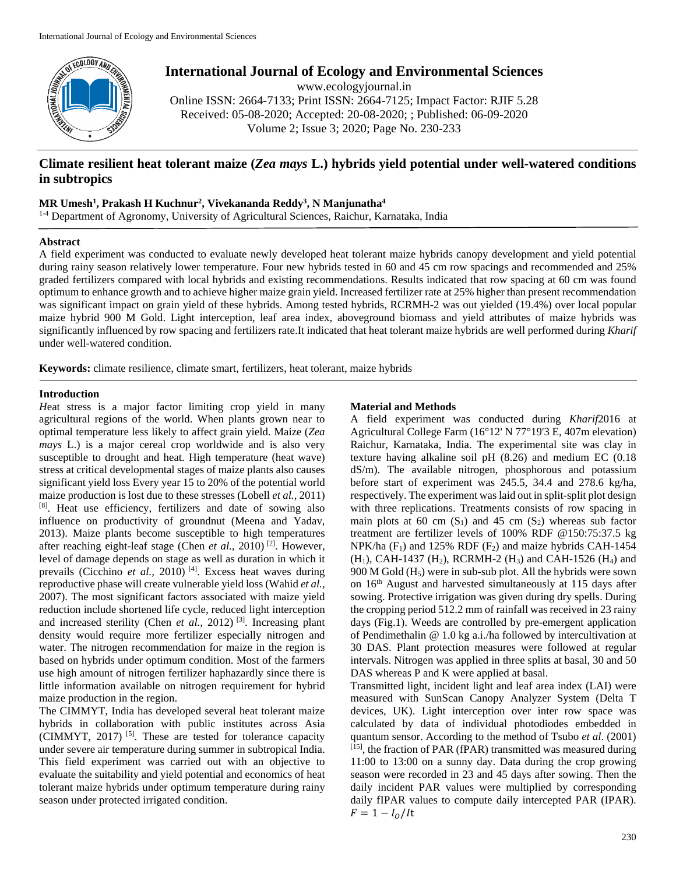

**International Journal of Ecology and Environmental Sciences**

www.ecologyjournal.in Online ISSN: 2664-7133; Print ISSN: 2664-7125; Impact Factor: RJIF 5.28 Received: 05-08-2020; Accepted: 20-08-2020; ; Published: 06-09-2020 Volume 2; Issue 3; 2020; Page No. 230-233

# **Climate resilient heat tolerant maize (***Zea mays* **L.) hybrids yield potential under well-watered conditions in subtropics**

# **MR Umesh1 , Prakash H Kuchnur2 , Vivekananda Reddy3 , N Manjunatha4**

1-4 Department of Agronomy, University of Agricultural Sciences, Raichur, Karnataka, India

# **Abstract**

A field experiment was conducted to evaluate newly developed heat tolerant maize hybrids canopy development and yield potential during rainy season relatively lower temperature. Four new hybrids tested in 60 and 45 cm row spacings and recommended and 25% graded fertilizers compared with local hybrids and existing recommendations. Results indicated that row spacing at 60 cm was found optimum to enhance growth and to achieve higher maize grain yield. Increased fertilizer rate at 25% higher than present recommendation was significant impact on grain yield of these hybrids. Among tested hybrids, RCRMH-2 was out yielded (19.4%) over local popular maize hybrid 900 M Gold. Light interception, leaf area index, aboveground biomass and yield attributes of maize hybrids was significantly influenced by row spacing and fertilizers rate.It indicated that heat tolerant maize hybrids are well performed during *Kharif* under well-watered condition.

**Keywords:** climate resilience, climate smart, fertilizers, heat tolerant, maize hybrids

# **Introduction**

*H*eat stress is a major factor limiting crop yield in many agricultural regions of the world. When plants grown near to optimal temperature less likely to affect grain yield. Maize (*Zea mays* L.) is a major cereal crop worldwide and is also very susceptible to drought and heat. High temperature (heat wave) stress at critical developmental stages of maize plants also causes significant yield loss Every year 15 to 20% of the potential world maize production is lost due to these stresses (Lobell *et al.,* 2011) [8]. Heat use efficiency, fertilizers and date of sowing also influence on productivity of groundnut (Meena and Yadav, 2013). Maize plants become susceptible to high temperatures after reaching eight-leaf stage (Chen *et al.,* 2010) [2]. However, level of damage depends on stage as well as duration in which it prevails (Cicchino *et al.,* 2010)<sup>[4]</sup>. Excess heat waves during reproductive phase will create vulnerable yield loss (Wahid *et al.,* 2007). The most significant factors associated with maize yield reduction include shortened life cycle, reduced light interception and increased sterility (Chen *et al.*, 2012)<sup>[3]</sup>. Increasing plant density would require more fertilizer especially nitrogen and water. The nitrogen recommendation for maize in the region is based on hybrids under optimum condition. Most of the farmers use high amount of nitrogen fertilizer haphazardly since there is little information available on nitrogen requirement for hybrid maize production in the region.

The CIMMYT, India has developed several heat tolerant maize hybrids in collaboration with public institutes across Asia (CIMMYT, 2017)<sup>[5]</sup>. These are tested for tolerance capacity under severe air temperature during summer in subtropical India. This field experiment was carried out with an objective to evaluate the suitability and yield potential and economics of heat tolerant maize hybrids under optimum temperature during rainy season under protected irrigated condition.

# **Material and Methods**

A field experiment was conducted during *Kharif*2016 at Agricultural College Farm (16°12' N 77°19'3 E, 407m elevation) Raichur, Karnataka, India. The experimental site was clay in texture having alkaline soil pH (8.26) and medium EC (0.18 dS/m). The available nitrogen, phosphorous and potassium before start of experiment was 245.5, 34.4 and 278.6 kg/ha, respectively. The experiment was laid out in split-split plot design with three replications. Treatments consists of row spacing in main plots at 60 cm  $(S_1)$  and 45 cm  $(S_2)$  whereas sub factor treatment are fertilizer levels of 100% RDF @150:75:37.5 kg NPK/ha  $(F_1)$  and 125% RDF  $(F_2)$  and maize hybrids CAH-1454  $(H_1)$ , CAH-1437  $(H_2)$ , RCRMH-2  $(H_3)$  and CAH-1526  $(H_4)$  and 900 M Gold  $(H<sub>5</sub>)$  were in sub-sub plot. All the hybrids were sown on 16th August and harvested simultaneously at 115 days after sowing. Protective irrigation was given during dry spells. During the cropping period 512.2 mm of rainfall was received in 23 rainy days (Fig.1). Weeds are controlled by pre-emergent application of Pendimethalin @ 1.0 kg a.i./ha followed by intercultivation at 30 DAS. Plant protection measures were followed at regular intervals. Nitrogen was applied in three splits at basal, 30 and 50 DAS whereas P and K were applied at basal.

Transmitted light, incident light and leaf area index (LAI) were measured with SunScan Canopy Analyzer System (Delta T devices, UK). Light interception over inter row space was calculated by data of individual photodiodes embedded in quantum sensor. According to the method of Tsubo *et al*. (2001)  $^{[15]}$ , the fraction of PAR (fPAR) transmitted was measured during 11:00 to 13:00 on a sunny day. Data during the crop growing season were recorded in 23 and 45 days after sowing. Then the daily incident PAR values were multiplied by corresponding daily fIPAR values to compute daily intercepted PAR (IPAR).  $F = 1 - I_0/lt$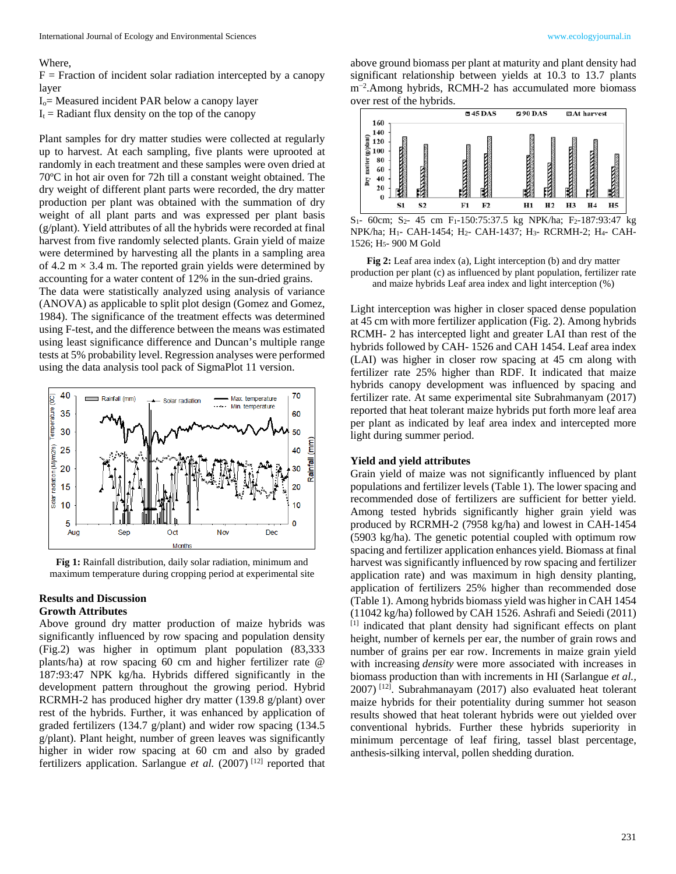#### Where,

 $F =$  Fraction of incident solar radiation intercepted by a canopy layer

Io= Measured incident PAR below a canopy layer

 $I_t$  = Radiant flux density on the top of the canopy

Plant samples for dry matter studies were collected at regularly up to harvest. At each sampling, five plants were uprooted at randomly in each treatment and these samples were oven dried at 70ºC in hot air oven for 72h till a constant weight obtained. The dry weight of different plant parts were recorded, the dry matter production per plant was obtained with the summation of dry weight of all plant parts and was expressed per plant basis (g/plant). Yield attributes of all the hybrids were recorded at final harvest from five randomly selected plants. Grain yield of maize were determined by harvesting all the plants in a sampling area of 4.2  $m \times 3.4$  m. The reported grain yields were determined by accounting for a water content of 12% in the sun-dried grains.

The data were statistically analyzed using analysis of variance (ANOVA) as applicable to split plot design (Gomez and Gomez, 1984). The significance of the treatment effects was determined using F-test, and the difference between the means was estimated using least significance difference and Duncan's multiple range tests at 5% probability level. Regression analyses were performed using the data analysis tool pack of SigmaPlot 11 version.



**Fig 1:** Rainfall distribution, daily solar radiation, minimum and maximum temperature during cropping period at experimental site

#### **Results and Discussion Growth Attributes**

Above ground dry matter production of maize hybrids was significantly influenced by row spacing and population density (Fig.2) was higher in optimum plant population (83,333 plants/ha) at row spacing 60 cm and higher fertilizer rate @ 187:93:47 NPK kg/ha. Hybrids differed significantly in the development pattern throughout the growing period. Hybrid RCRMH-2 has produced higher dry matter (139.8 g/plant) over rest of the hybrids. Further, it was enhanced by application of graded fertilizers (134.7 g/plant) and wider row spacing (134.5 g/plant). Plant height, number of green leaves was significantly higher in wider row spacing at 60 cm and also by graded fertilizers application. Sarlangue *et al.* (2007) [12] reported that

above ground biomass per plant at maturity and plant density had significant relationship between yields at 10.3 to 13.7 plants m<sup>−</sup><sup>2</sup> .Among hybrids, RCMH-2 has accumulated more biomass over rest of the hybrids.



 $S_1$ - 60cm; S<sub>2</sub>- 45 cm F<sub>1</sub>-150:75:37.5 kg NPK/ha; F<sub>2</sub>-187:93:47 kg NPK/ha; H1- CAH-1454; H2- CAH-1437; H3- RCRMH-2; H4- CAH-1526; H5- 900 M Gold

**Fig 2:** Leaf area index (a), Light interception (b) and dry matter production per plant (c) as influenced by plant population, fertilizer rate and maize hybrids Leaf area index and light interception (%)

Light interception was higher in closer spaced dense population at 45 cm with more fertilizer application (Fig. 2). Among hybrids RCMH- 2 has intercepted light and greater LAI than rest of the hybrids followed by CAH- 1526 and CAH 1454. Leaf area index (LAI) was higher in closer row spacing at 45 cm along with fertilizer rate 25% higher than RDF. It indicated that maize hybrids canopy development was influenced by spacing and fertilizer rate. At same experimental site Subrahmanyam (2017) reported that heat tolerant maize hybrids put forth more leaf area per plant as indicated by leaf area index and intercepted more light during summer period.

# **Yield and yield attributes**

Grain yield of maize was not significantly influenced by plant populations and fertilizer levels (Table 1). The lower spacing and recommended dose of fertilizers are sufficient for better yield. Among tested hybrids significantly higher grain yield was produced by RCRMH-2 (7958 kg/ha) and lowest in CAH-1454 (5903 kg/ha). The genetic potential coupled with optimum row spacing and fertilizer application enhances yield. Biomass at final harvest was significantly influenced by row spacing and fertilizer application rate) and was maximum in high density planting, application of fertilizers 25% higher than recommended dose (Table 1). Among hybrids biomass yield was higher in CAH 1454 (11042 kg/ha) followed by CAH 1526. Ashrafi and Seiedi (2011) [1] indicated that plant density had significant effects on plant height, number of kernels per ear, the number of grain rows and number of grains per ear row. Increments in maize grain yield with increasing *density* were more associated with increases in biomass production than with increments in HI (Sarlangue *et al.,*  $2007$ ) <sup>[12]</sup>. Subrahmanayam (2017) also evaluated heat tolerant maize hybrids for their potentiality during summer hot season results showed that heat tolerant hybrids were out yielded over conventional hybrids. Further these hybrids superiority in minimum percentage of leaf firing, tassel blast percentage, anthesis-silking interval, pollen shedding duration.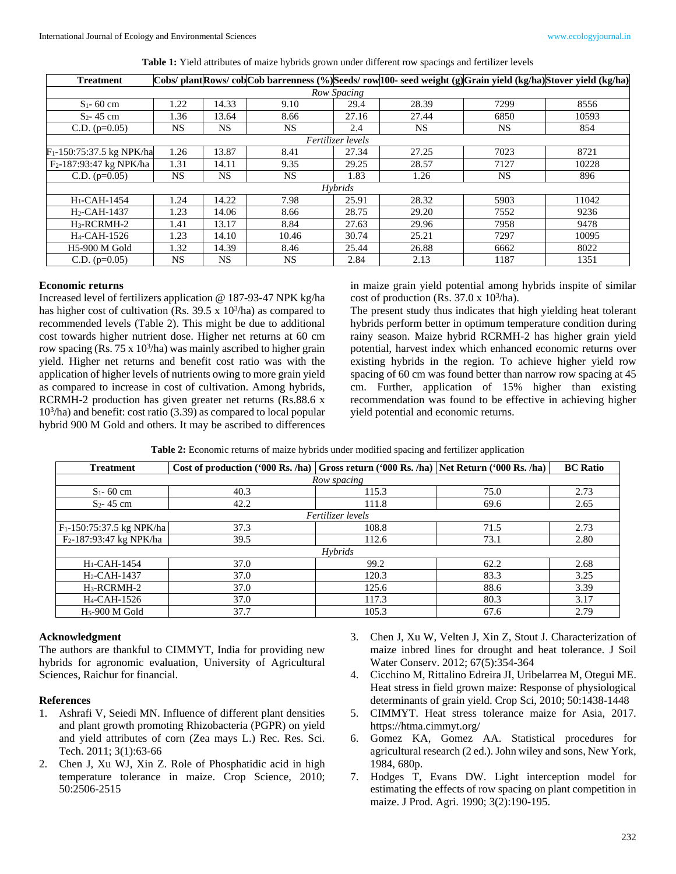| <b>Treatment</b>                      |           |           | Cobs/ plant Rows/ cob Cob barrenness (%) Seeds/ row 100- seed weight (g) Grain yield (kg/ha) Stover yield (kg/ha) |       |           |           |       |  |  |  |  |
|---------------------------------------|-----------|-----------|-------------------------------------------------------------------------------------------------------------------|-------|-----------|-----------|-------|--|--|--|--|
| Row Spacing                           |           |           |                                                                                                                   |       |           |           |       |  |  |  |  |
| $S_1 - 60$ cm                         | 1.22      | 14.33     | 9.10                                                                                                              | 29.4  | 28.39     | 7299      | 8556  |  |  |  |  |
| $S_2 - 45$ cm                         | 1.36      | 13.64     | 8.66                                                                                                              | 27.16 | 27.44     | 6850      | 10593 |  |  |  |  |
| C.D. $(p=0.05)$                       | <b>NS</b> | <b>NS</b> | NS.                                                                                                               | 2.4   | <b>NS</b> | NS.       | 854   |  |  |  |  |
| Fertilizer levels                     |           |           |                                                                                                                   |       |           |           |       |  |  |  |  |
| F <sub>1</sub> -150:75:37.5 kg NPK/ha | 1.26      | 13.87     | 8.41                                                                                                              | 27.34 | 27.25     | 7023      | 8721  |  |  |  |  |
| F <sub>2</sub> -187:93:47 kg NPK/ha   | 1.31      | 14.11     | 9.35                                                                                                              | 29.25 | 28.57     | 7127      | 10228 |  |  |  |  |
| C.D. $(p=0.05)$                       | <b>NS</b> | NS.       | NS.                                                                                                               | 1.83  | 1.26      | <b>NS</b> | 896   |  |  |  |  |
| <b>Hybrids</b>                        |           |           |                                                                                                                   |       |           |           |       |  |  |  |  |
| $H1-CAH-1454$                         | 1.24      | 14.22     | 7.98                                                                                                              | 25.91 | 28.32     | 5903      | 11042 |  |  |  |  |
| $H_2$ -CAH-1437                       | 1.23      | 14.06     | 8.66                                                                                                              | 28.75 | 29.20     | 7552      | 9236  |  |  |  |  |
| $H_3$ -RCRMH-2                        | 1.41      | 13.17     | 8.84                                                                                                              | 27.63 | 29.96     | 7958      | 9478  |  |  |  |  |
| H <sub>4</sub> -CAH-1526              | 1.23      | 14.10     | 10.46                                                                                                             | 30.74 | 25.21     | 7297      | 10095 |  |  |  |  |
| <b>H5-900 M Gold</b>                  | 1.32      | 14.39     | 8.46                                                                                                              | 25.44 | 26.88     | 6662      | 8022  |  |  |  |  |
| C.D. $(p=0.05)$                       | NS.       | NS.       | NS.                                                                                                               | 2.84  | 2.13      | 1187      | 1351  |  |  |  |  |

**Table 1:** Yield attributes of maize hybrids grown under different row spacings and fertilizer levels

#### **Economic returns**

Increased level of fertilizers application @ 187-93-47 NPK kg/ha has higher cost of cultivation (Rs.  $39.5 \times 10^3$ /ha) as compared to recommended levels (Table 2). This might be due to additional cost towards higher nutrient dose. Higher net returns at 60 cm row spacing (Rs.  $75 \times 10^3$ /ha) was mainly ascribed to higher grain yield. Higher net returns and benefit cost ratio was with the application of higher levels of nutrients owing to more grain yield as compared to increase in cost of cultivation. Among hybrids, RCRMH-2 production has given greater net returns (Rs.88.6 x 103 /ha) and benefit: cost ratio (3.39) as compared to local popular hybrid 900 M Gold and others. It may be ascribed to differences

in maize grain yield potential among hybrids inspite of similar cost of production (Rs.  $37.0 \times 10^3$ /ha).

The present study thus indicates that high yielding heat tolerant hybrids perform better in optimum temperature condition during rainy season. Maize hybrid RCRMH-2 has higher grain yield potential, harvest index which enhanced economic returns over existing hybrids in the region. To achieve higher yield row spacing of 60 cm was found better than narrow row spacing at 45 cm. Further, application of 15% higher than existing recommendation was found to be effective in achieving higher yield potential and economic returns.

|  |  |  |  | Table 2: Economic returns of maize hybrids under modified spacing and fertilizer application |  |  |  |
|--|--|--|--|----------------------------------------------------------------------------------------------|--|--|--|
|  |  |  |  |                                                                                              |  |  |  |

| <b>Treatment</b>                      | Cost of production ('000 Rs. /ha) Gross return ('000 Rs. /ha) Net Return ('000 Rs. /ha) |       |      | <b>BC</b> Ratio |  |  |  |  |  |
|---------------------------------------|-----------------------------------------------------------------------------------------|-------|------|-----------------|--|--|--|--|--|
| Row spacing                           |                                                                                         |       |      |                 |  |  |  |  |  |
| $S_1 - 60$ cm                         | 40.3                                                                                    | 115.3 | 75.0 | 2.73            |  |  |  |  |  |
| $S_2 - 45$ cm                         | 42.2                                                                                    | 111.8 | 69.6 | 2.65            |  |  |  |  |  |
| Fertilizer levels                     |                                                                                         |       |      |                 |  |  |  |  |  |
| F <sub>1</sub> -150:75:37.5 kg NPK/ha | 37.3                                                                                    | 108.8 | 71.5 | 2.73            |  |  |  |  |  |
| F <sub>2</sub> -187:93:47 kg NPK/ha   | 39.5                                                                                    | 112.6 | 73.1 | 2.80            |  |  |  |  |  |
| <b>Hybrids</b>                        |                                                                                         |       |      |                 |  |  |  |  |  |
| $H_1$ -CAH-1454                       | 37.0                                                                                    | 99.2  | 62.2 | 2.68            |  |  |  |  |  |
| $H_2$ -CAH-1437                       | 37.0                                                                                    | 120.3 | 83.3 | 3.25            |  |  |  |  |  |
| $H_3$ -RCRMH-2                        | 37.0                                                                                    | 125.6 | 88.6 | 3.39            |  |  |  |  |  |
| H <sub>4</sub> -CAH-1526              | 37.0                                                                                    | 117.3 | 80.3 | 3.17            |  |  |  |  |  |
| $H5$ -900 M Gold                      | 37.7                                                                                    | 105.3 | 67.6 | 2.79            |  |  |  |  |  |

#### **Acknowledgment**

The authors are thankful to CIMMYT, India for providing new hybrids for agronomic evaluation, University of Agricultural Sciences, Raichur for financial.

# **References**

- 1. Ashrafi V, Seiedi MN. Influence of different plant densities and plant growth promoting Rhizobacteria (PGPR) on yield and yield attributes of corn (Zea mays L.) Rec. Res. Sci. Tech. 2011; 3(1):63-66
- 2. Chen J, Xu WJ, Xin Z. Role of Phosphatidic acid in high temperature tolerance in maize. Crop Science, 2010; 50:2506-2515
- 3. Chen J, Xu W, Velten J, Xin Z, Stout J. Characterization of maize inbred lines for drought and heat tolerance. J Soil Water Conserv. 2012; 67(5):354-364
- 4. Cicchino M, Rittalino Edreira JI, Uribelarrea M, Otegui ME. Heat stress in field grown maize: Response of physiological determinants of grain yield. Crop Sci, 2010; 50:1438-1448
- 5. CIMMYT. Heat stress tolerance maize for Asia, 2017. https://htma.cimmyt.org/
- 6. Gomez KA, Gomez AA. Statistical procedures for agricultural research (2 ed.). John wiley and sons, New York, 1984, 680p.
- 7. Hodges T, Evans DW. Light interception model for estimating the effects of row spacing on plant competition in maize. J Prod. Agri. 1990; 3(2):190-195.